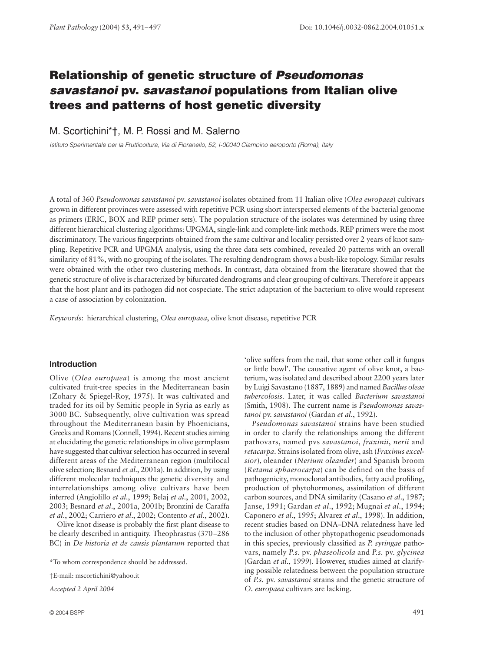# **Relationship of genetic structure of Pseudomonas** *savastanoi* **pv.** *savastanoi* **populations from Italian olive trees and patterns of host genetic diversity**

M. Scortichini\*†, M. P. Rossi and M. Salerno

*Istituto Sperimentale per la Frutticoltura, Via di Fioranello, 52, I-00040 Ciampino aeroporto (Roma), Italy* 

A total of 360 *Pseudomonas savastanoi* pv. *savastanoi* isolates obtained from 11 Italian olive (*Olea europaea*) cultivars grown in different provinces were assessed with repetitive PCR using short interspersed elements of the bacterial genome as primers (ERIC, BOX and REP primer sets). The population structure of the isolates was determined by using three different hierarchical clustering algorithms: UPGMA, single-link and complete-link methods. REP primers were the most discriminatory. The various fingerprints obtained from the same cultivar and locality persisted over 2 years of knot sampling. Repetitive PCR and UPGMA analysis, using the three data sets combined, revealed 20 patterns with an overall similarity of 81%, with no grouping of the isolates. The resulting dendrogram shows a bush-like topology. Similar results were obtained with the other two clustering methods. In contrast, data obtained from the literature showed that the genetic structure of olive is characterized by bifurcated dendrograms and clear grouping of cultivars. Therefore it appears that the host plant and its pathogen did not cospeciate. The strict adaptation of the bacterium to olive would represent a case of association by colonization.

*Keywords*: hierarchical clustering, *Olea europaea*, olive knot disease, repetitive PCR

# **Introduction**

Olive (*Olea europaea*) is among the most ancient cultivated fruit-tree species in the Mediterranean basin (Zohary & Spiegel-Roy, 1975). It was cultivated and traded for its oil by Semitic people in Syria as early as 3000 BC. Subsequently, olive cultivation was spread throughout the Mediterranean basin by Phoenicians, Greeks and Romans (Connell, 1994). Recent studies aiming at elucidating the genetic relationships in olive germplasm have suggested that cultivar selection has occurred in several different areas of the Mediterranean region (multilocal olive selection; Besnard *et al*., 2001a). In addition, by using different molecular techniques the genetic diversity and interrelationships among olive cultivars have been inferred (Angiolillo *et al*., 1999; Belaj *et al*., 2001, 2002, 2003; Besnard *et al*., 2001a, 2001b; Bronzini de Caraffa *et al*., 2002; Carriero *et al*., 2002; Contento *et al*., 2002).

Olive knot disease is probably the first plant disease to be clearly described in antiquity. Theophrastus (370–286 BC) in *De historia et de causis plantarum* reported that

\*To whom correspondence should be addressed.

†E-mail: mscortichini@yahoo.it

*Accepted 2 April 2004*

'olive suffers from the nail, that some other call it fungus or little bowl'. The causative agent of olive knot, a bacterium, was isolated and described about 2200 years later by Luigi Savastano (1887, 1889) and named *Bacillus oleae tubercolosis*. Later, it was called *Bacterium savastanoi* (Smith, 1908). The current name is *Pseudomonas savastanoi* pv. *savastanoi* (Gardan *et al*., 1992).

*Pseudomonas savastanoi* strains have been studied in order to clarify the relationships among the different pathovars, named pvs *savastanoi*, *fraxinii*, *nerii* and *retacarpa*. Strains isolated from olive, ash (*Fraxinus excelsior*), oleander (*Nerium oleander*) and Spanish broom (*Retama sphaerocarpa*) can be defined on the basis of pathogenicity, monoclonal antibodies, fatty acid profiling, production of phytohormones, assimilation of different carbon sources, and DNA similarity (Casano *et al*., 1987; Janse, 1991; Gardan *et al*., 1992; Mugnai *et al*., 1994; Caponero *et al*., 1995; Alvarez *et al*., 1998). In addition, recent studies based on DNA–DNA relatedness have led to the inclusion of other phytopathogenic pseudomonads in this species, previously classified as *P. syringae* pathovars, namely *P.s.* pv. *phaseolicola* and *P.s.* pv. *glycinea* (Gardan *et al*., 1999). However, studies aimed at clarifying possible relatedness between the population structure of *P.s.* pv. *savastanoi* strains and the genetic structure of *O. europaea* cultivars are lacking.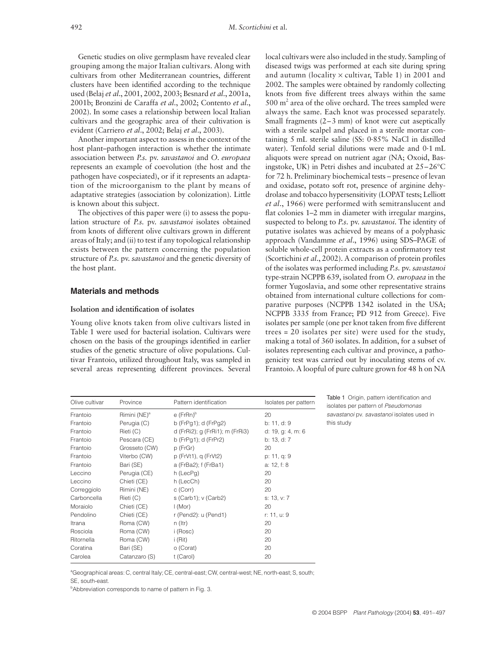Genetic studies on olive germplasm have revealed clear grouping among the major Italian cultivars. Along with cultivars from other Mediterranean countries, different clusters have been identified according to the technique used (Belaj *et al*., 2001, 2002, 2003; Besnard *et al*., 2001a, 2001b; Bronzini de Caraffa *et al*., 2002; Contento *et al*., 2002). In some cases a relationship between local Italian cultivars and the geographic area of their cultivation is evident (Carriero *et al*., 2002; Belaj *et al*., 2003).

Another important aspect to assess in the context of the host plant–pathogen interaction is whether the intimate association between *P.s.* pv. *savastanoi* and *O. europaea* represents an example of coevolution (the host and the pathogen have cospeciated), or if it represents an adaptation of the microorganism to the plant by means of adaptative strategies (association by colonization). Little is known about this subject.

The objectives of this paper were (i) to assess the population structure of *P.s.* pv. *savastanoi* isolates obtained from knots of different olive cultivars grown in different areas of Italy; and (ii) to test if any topological relationship exists between the pattern concerning the population structure of *P.s.* pv. *savastanoi* and the genetic diversity of the host plant.

## **Materials and methods**

## **Isolation and identification of isolates**

Young olive knots taken from olive cultivars listed in Table 1 were used for bacterial isolation. Cultivars were chosen on the basis of the groupings identified in earlier studies of the genetic structure of olive populations. Cultivar Frantoio, utilized throughout Italy, was sampled in several areas representing different provinces. Several local cultivars were also included in the study. Sampling of diseased twigs was performed at each site during spring and autumn (locality  $\times$  cultivar, Table 1) in 2001 and 2002. The samples were obtained by randomly collecting knots from five different trees always within the same  $500 \text{ m}^2$  area of the olive orchard. The trees sampled were always the same. Each knot was processed separately. Small fragments (2–3 mm) of knot were cut aseptically with a sterile scalpel and placed in a sterile mortar containing 5 mL sterile saline (SS: 0·85% NaCl in distilled water). Tenfold serial dilutions were made and 0·1 mL aliquots were spread on nutrient agar (NA; Oxoid, Basingstoke, UK) in Petri dishes and incubated at 25–26°C for 72 h. Preliminary biochemical tests – presence of levan and oxidase, potato soft rot, presence of arginine dehydrolase and tobacco hypersensitivity (LOPAT tests; Lelliott *et al*., 1966) were performed with semitranslucent and flat colonies 1–2 mm in diameter with irregular margins, suspected to belong to *P.s.* pv. *savastanoi*. The identity of putative isolates was achieved by means of a polyphasic approach (Vandamme *et al*., 1996) using SDS–PAGE of soluble whole-cell protein extracts as a confirmatory test (Scortichini *et al*., 2002). A comparison of protein profiles of the isolates was performed including *P.s.* pv. *savastanoi* type-strain NCPPB 639, isolated from *O. europaea* in the former Yugoslavia, and some other representative strains obtained from international culture collections for comparative purposes (NCPPB 1342 isolated in the USA; NCPPB 3335 from France; PD 912 from Greece). Five isolates per sample (one per knot taken from five different trees = 20 isolates per site) were used for the study, making a total of 360 isolates. In addition, for a subset of isolates representing each cultivar and province, a pathogenicity test was carried out by inoculating stems of cv. Frantoio. A loopful of pure culture grown for 48 h on NA

| Olive cultivar | Province                 | Pattern identification          | Isolates per pattern |
|----------------|--------------------------|---------------------------------|----------------------|
| Frantoio       | Rimini (NE) <sup>a</sup> | $e$ (FrRn) $b$                  | 20                   |
| Frantoio       | Perugia (C)              | b ( $FrPg1$ ); d ( $FrPg2$ )    | b: 11, d: 9          |
| Frantoio       | Rieti (C)                | d (FrRi2); g (FrRi1); m (FrRi3) | d: 19, g: 4, m: 6    |
| Frantoio       | Pescara (CE)             | b (FrPg1); d (FrPr2)            | b: 13, d: 7          |
| Frantoio       | Grosseto (CW)            | p (FrGr)                        | 20                   |
| Frantoio       | Viterbo (CW)             | p (FrVt1), q (FrVt2)            | p: 11, q: 9          |
| Frantoio       | Bari (SE)                | a (FrBa2); f (FrBa1)            | a: 12, f: 8          |
| Leccino        | Perugia (CE)             | h (LecPg)                       | 20                   |
| Leccino        | Chieti (CE)              | h (LecCh)                       | 20                   |
| Correggiolo    | Rimini (NE)              | c (Corr)                        | 20                   |
| Carboncella    | Rieti (C)                | s (Carb1); v (Carb2)            | s: 13, v: 7          |
| Moraiolo       | Chieti (CE)              | $\mathsf{I}$ (Mor)              | 20                   |
| Pendolino      | Chieti (CE)              | r (Pend2): u (Pend1)            | r: 11, u: 9          |
| Itrana         | Roma (CW)                | $n$ (Itr)                       | 20                   |
| Rosciola       | Roma (CW)                | i (Rosc)                        | 20                   |
| Ritornella     | Roma (CW)                | i (Rit)                         | 20                   |
| Coratina       | Bari (SE)                | o (Corat)                       | 20                   |
| Carolea        | Catanzaro (S)            | t (Carol)                       | 20                   |

Table 1 Origin, pattern identification and isolates per pattern of *Pseudomonas savastanoi* pv. *savastanoi* isolates used in this study

a Geographical areas: C, central Italy; CE, central-east; CW, central-west; NE, north-east; S, south;

SE, south-east.

<sup>b</sup>Abbreviation corresponds to name of pattern in Fig. 3.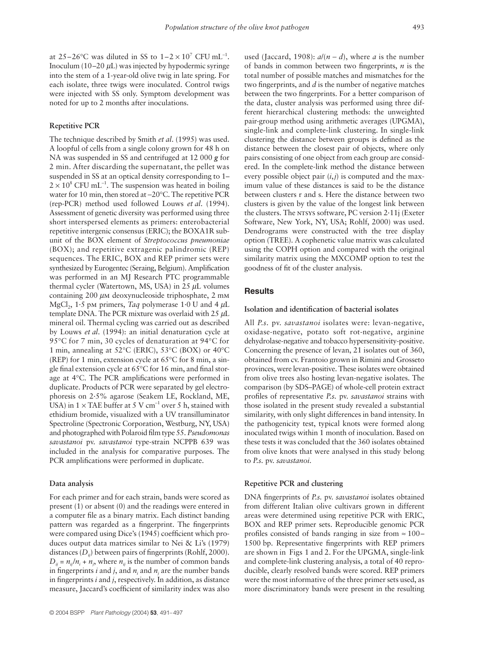at 25–26 $\rm{^{\circ}C}$  was diluted in SS to 1–2 × 10<sup>7</sup> CFU mL<sup>-1</sup>. Inoculum (10–20  $\mu$ L) was injected by hypodermic syringe into the stem of a 1-year-old olive twig in late spring. For each isolate, three twigs were inoculated. Control twigs were injected with SS only. Symptom development was noted for up to 2 months after inoculations.

#### **Repetitive PCR**

The technique described by Smith *et al*. (1995) was used. A loopful of cells from a single colony grown for 48 h on NA was suspended in SS and centrifuged at 12 000 *g* for 2 min. After discarding the supernatant, the pellet was suspended in SS at an optical density corresponding to 1–  $2 \times 10^8$  CFU mL<sup>-1</sup>. The suspension was heated in boiling water for 10 min, then stored at −20°C. The repetitive PCR (rep-PCR) method used followed Louws *et al*. (1994). Assessment of genetic diversity was performed using three short interspersed elements as primers: enterobacterial repetitive intergenic consensus (ERIC); the BOXA1R subunit of the BOX element of *Streptococcus pneumoniae* (BOX); and repetitive extragenic palindromic (REP) sequences. The ERIC, BOX and REP primer sets were synthesized by Eurogentec (Seraing, Belgium). Amplification was performed in an MJ Research PTC programmable thermal cycler (Watertown, MS, USA) in  $25 \mu L$  volumes containing 200 µm deoxynucleoside triphosphate, 2 mm MgCl<sub>2</sub>, 1.5 pm primers, *Taq* polymerase 1.0 U and 4  $\mu$ L template DNA. The PCR mixture was overlaid with  $25 \mu L$ mineral oil. Thermal cycling was carried out as described by Louws *et al*. (1994): an initial denaturation cycle at 95°C for 7 min, 30 cycles of denaturation at 94°C for 1 min, annealing at 52°C (ERIC), 53°C (BOX) or 40°C (REP) for 1 min, extension cycle at 65°C for 8 min, a single final extension cycle at 65°C for 16 min, and final storage at 4°C. The PCR amplifications were performed in duplicate. Products of PCR were separated by gel electrophoresis on 2·5% agarose (Seakem LE, Rockland, ME, USA) in  $1 \times$  TAE buffer at 5 V cm<sup>-1</sup> over 5 h, stained with ethidium bromide, visualized with a UV transilluminator Spectroline (Spectronic Corporation, Westburg, NY, USA) and photographed with Polaroid film type 55. *Pseudomonas savastanoi* pv. *savastanoi* type-strain NCPPB 639 was included in the analysis for comparative purposes. The PCR amplifications were performed in duplicate.

#### **Data analysis**

For each primer and for each strain, bands were scored as present (1) or absent (0) and the readings were entered in a computer file as a binary matrix. Each distinct banding pattern was regarded as a fingerprint. The fingerprints were compared using Dice's (1945) coefficient which produces output data matrices similar to Nei & Li's (1979) distances (D<sub>ij</sub>) between pairs of fingerprints (Rohlf, 2000).  $D_{ij} = n_{ij}/n_i + n_j$ , where  $n_{ij}$  is the number of common bands in fingerprints *i* and *j*, and *n<sub>i</sub>* and *n<sub>i</sub>* are the number bands in fingerprints *i* and *j*, respectively. In addition, as distance measure, Jaccard's coefficient of similarity index was also

used (Jaccard, 1908):  $a/(n-d)$ , where *a* is the number of bands in common between two fingerprints, *n* is the total number of possible matches and mismatches for the two fingerprints, and *d* is the number of negative matches between the two fingerprints. For a better comparison of the data, cluster analysis was performed using three different hierarchical clustering methods: the unweighted pair-group method using arithmetic averages (UPGMA), single-link and complete-link clustering. In single-link clustering the distance between groups is defined as the distance between the closest pair of objects, where only pairs consisting of one object from each group are considered. In the complete-link method the distance between every possible object pair  $(i, j)$  is computed and the maximum value of these distances is said to be the distance between clusters r and s. Here the distance between two clusters is given by the value of the longest link between the clusters. The NTSYS software, PC version 2.11j (Exeter Software, New York, NY, USA; Rohlf, 2000) was used. Dendrograms were constructed with the tree display option (TREE). A cophenetic value matrix was calculated using the COPH option and compared with the original similarity matrix using the MXCOMP option to test the goodness of fit of the cluster analysis.

## **Results**

#### **Isolation and identification of bacterial isolates**

All *P.s.* pv. *savastanoi* isolates were: levan-negative, oxidase-negative, potato soft rot-negative, arginine dehydrolase-negative and tobacco hypersensitivity-positive. Concerning the presence of levan, 21 isolates out of 360, obtained from cv. Frantoio grown in Rimini and Grosseto provinces, were levan-positive. These isolates were obtained from olive trees also hosting levan-negative isolates. The comparison (by SDS–PAGE) of whole-cell protein extract profiles of representative *P.s.* pv. *savastanoi* strains with those isolated in the present study revealed a substantial similarity, with only slight differences in band intensity. In the pathogenicity test, typical knots were formed along inoculated twigs within 1 month of inoculation. Based on these tests it was concluded that the 360 isolates obtained from olive knots that were analysed in this study belong to *P.s.* pv. *savastanoi*.

#### **Repetitive PCR and clustering**

DNA fingerprints of *P.s.* pv. *savastanoi* isolates obtained from different Italian olive cultivars grown in different areas were determined using repetitive PCR with ERIC, BOX and REP primer sets. Reproducible genomic PCR profiles consisted of bands ranging in size from  $\approx 100-$ 1500 bp. Representative fingerprints with REP primers are shown in Figs 1 and 2. For the UPGMA, single-link and complete-link clustering analysis, a total of 40 reproducible, clearly resolved bands were scored. REP primers were the most informative of the three primer sets used, as more discriminatory bands were present in the resulting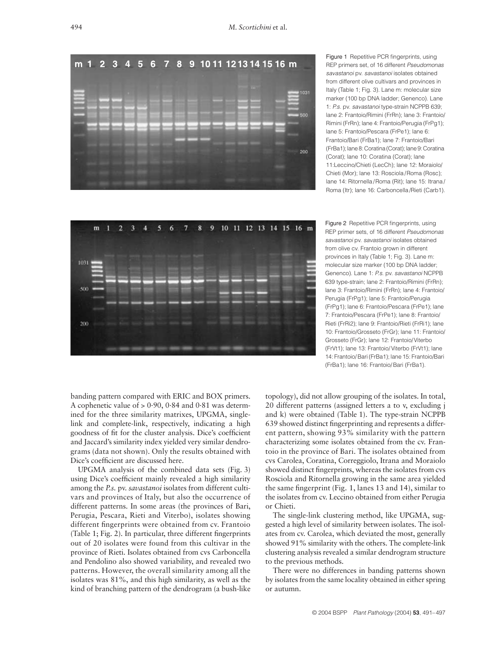

Figure 1 Repetitive PCR fingerprints, using REP primers set, of 16 different *Pseudomonas savastanoi* pv. *savastanoi* isolates obtained from different olive cultivars and provinces in Italy (Table 1; Fig. 3). Lane m: molecular size marker (100 bp DNA ladder; Genenco). Lane 1: *P.s.* pv. *savastanoi* type-strain NCPPB 639; lane 2: Frantoio/Rimini (FrRn); lane 3: Frantoio/ Rimini (FrRn); lane 4: Frantoio/Perugia (FrPg1); lane 5: Frantoio/Pescara (FrPe1); lane 6: Frantoio/Bari (FrBa1); lane 7: Frantoio/Bari (FrBa1); lane 8: Coratina (Corat); lane 9: Coratina (Corat); lane 10: Coratina (Corat); lane 11:Leccino/Chieti (LecCh); lane 12: Moraiolo/ Chieti (Mor); lane 13: Rosciola /Roma (Rosc); lane 14: Ritornella /Roma (Rit); lane 15: Itrana / Roma (Itr); lane 16: Carboncella /Rieti (Carb1).



Figure 2 Repetitive PCR fingerprints, using REP primer sets, of 16 different *Pseudomonas savastanoi* pv. *savastanoi* isolates obtained from olive cv. Frantoio grown in different provinces in Italy (Table 1; Fig. 3). Lane m: molecular size marker (100 bp DNA ladder; Genenco). Lane 1: *P.s.* pv. *savastanoi* NCPPB 639 type-strain; lane 2: Frantoio/Rimini (FrRn); lane 3: Frantoio/Rimini (FrRn); lane 4: Frantoio/ Perugia (FrPg1); lane 5: Frantoio/Perugia (FrPg1); lane 6: Frantoio/Pescara (FrPe1); lane 7: Frantoio/Pescara (FrPe1); lane 8: Frantoio/ Rieti (FrRi2); lane 9: Frantoio/Rieti (FrRi1); lane 10: Frantoio/Grosseto (FrGr); lane 11: Frantoio/ Grosseto (FrGr); lane 12: Frantoio/Viterbo (FrVt1); lane 13: Frantoio/ Viterbo (FrVt1); lane 14: Frantoio/ Bari (FrBa1); lane 15: Frantoio/Bari (FrBa1); lane 16: Frantoio/ Bari (FrBa1).

banding pattern compared with ERIC and BOX primers. A cophenetic value of  $> 0.90$ , 0.84 and 0.81 was determined for the three similarity matrixes, UPGMA, singlelink and complete-link, respectively, indicating a high goodness of fit for the cluster analysis. Dice's coefficient and Jaccard's similarity index yielded very similar dendrograms (data not shown). Only the results obtained with Dice's coefficient are discussed here.

UPGMA analysis of the combined data sets (Fig. 3) using Dice's coefficient mainly revealed a high similarity among the *P.s.* pv. *savastanoi* isolates from different cultivars and provinces of Italy, but also the occurrence of different patterns. In some areas (the provinces of Bari, Perugia, Pescara, Rieti and Viterbo), isolates showing different fingerprints were obtained from cv. Frantoio (Table 1; Fig. 2). In particular, three different fingerprints out of 20 isolates were found from this cultivar in the province of Rieti. Isolates obtained from cvs Carboncella and Pendolino also showed variability, and revealed two patterns. However, the overall similarity among all the isolates was 81%, and this high similarity, as well as the kind of branching pattern of the dendrogram (a bush-like

topology), did not allow grouping of the isolates. In total, 20 different patterns (assigned letters a to v, excluding j and k) were obtained (Table 1). The type-strain NCPPB 639 showed distinct fingerprinting and represents a different pattern, showing 93% similarity with the pattern characterizing some isolates obtained from the cv. Frantoio in the province of Bari. The isolates obtained from cvs Carolea, Coratina, Correggiolo, Itrana and Moraiolo showed distinct fingerprints, whereas the isolates from cvs Rosciola and Ritornella growing in the same area yielded the same fingerprint (Fig. 1, lanes 13 and 14), similar to the isolates from cv. Leccino obtained from either Perugia or Chieti.

The single-link clustering method, like UPGMA, suggested a high level of similarity between isolates. The isolates from cv. Carolea, which deviated the most, generally showed 91% similarity with the others. The complete-link clustering analysis revealed a similar dendrogram structure to the previous methods.

There were no differences in banding patterns shown by isolates from the same locality obtained in either spring or autumn.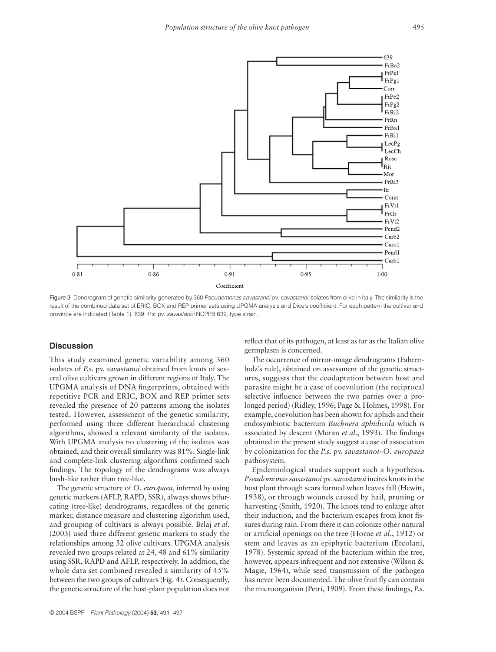

Figure 3 Dendrogram of genetic similarity generated by 360 *Pseudomonas savastanoi* pv. *savastanoi* isolates from olive in Italy. The similarity is the result of the combined data set of ERIC, BOX and REP primer sets using UPGMA analysis and Dice's coefficient. For each pattern the cultivar and province are indicated (Table 1). 639: *P.s.* pv. *savastanoi* NCPPB 639, type strain.

# **Discussion**

This study examined genetic variability among 360 isolates of *P.s.* pv. *savastanoi* obtained from knots of several olive cultivars grown in different regions of Italy. The UPGMA analysis of DNA fingerprints, obtained with repetitive PCR and ERIC, BOX and REP primer sets revealed the presence of 20 patterns among the isolates tested. However, assessment of the genetic similarity, performed using three different hierarchical clustering algorithms, showed a relevant similarity of the isolates. With UPGMA analysis no clustering of the isolates was obtained, and their overall similarity was 81%. Single-link and complete-link clustering algorithms confirmed such findings. The topology of the dendrograms was always bush-like rather than tree-like.

The genetic structure of *O. europaea*, inferred by using genetic markers (AFLP, RAPD, SSR), always shows bifurcating (tree-like) dendrograms, regardless of the genetic marker, distance measure and clustering algorithm used, and grouping of cultivars is always possible. Belaj *et al*. (2003) used three different genetic markers to study the relationships among 32 olive cultivars. UPGMA analysis revealed two groups related at 24, 48 and 61% similarity using SSR, RAPD and AFLP, respectively. In addition, the whole data set combined revealed a similarity of 45% between the two groups of cultivars (Fig. 4). Consequently, the genetic structure of the host-plant population does not

reflect that of its pathogen, at least as far as the Italian olive germplasm is concerned.

The occurrence of mirror-image dendrograms (Fahrenholz's rule), obtained on assessment of the genetic structures, suggests that the coadaptation between host and parasite might be a case of coevolution (the reciprocal selective influence between the two parties over a prolonged period) (Ridley, 1996; Page & Holmes, 1998). For example, coevolution has been shown for aphids and their endosymbiotic bacterium *Buchnera aphidicola* which is associated by descent (Moran *et al*., 1993). The findings obtained in the present study suggest a case of association by colonization for the *P.s.* pv. *savastanoi*–*O. europaea* pathosystem.

Epidemiological studies support such a hypothesis. *Pseudomonas savastanoi* pv. *savastanoi* incites knots in the host plant through scars formed when leaves fall (Hewitt, 1938), or through wounds caused by hail, pruning or harvesting (Smith, 1920). The knots tend to enlarge after their induction, and the bacterium escapes from knot fissures during rain. From there it can colonize other natural or artificial openings on the tree (Horne *et al*., 1912) or stem and leaves as an epiphytic bacterium (Ercolani, 1978). Systemic spread of the bacterium within the tree, however, appears infrequent and not extensive (Wilson & Magie, 1964), while seed transmission of the pathogen has never been documented. The olive fruit fly can contain the microorganism (Petri, 1909). From these findings, *P.s.*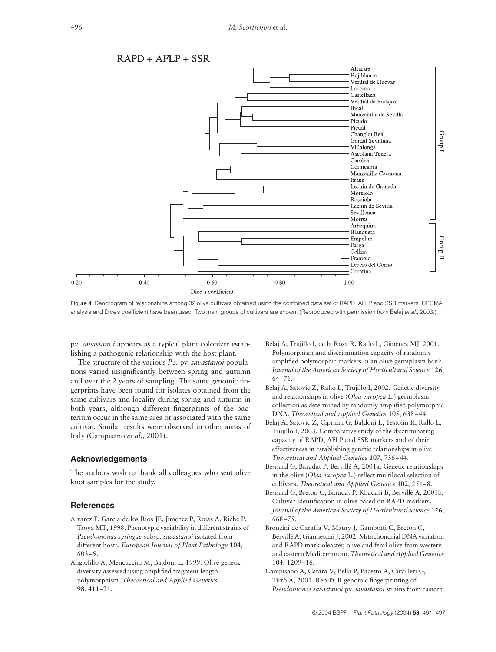

Figure 4 Dendrogram of relationships among 32 olive cultivars obtained using the combined data set of RAPD, AFLP and SSR markers. UPGMA analysis and Dice's coefficient have been used. Two main groups of cultivars are shown. (Reproduced with permission from Belaj *et al*., 2003.)

pv. *savastanoi* appears as a typical plant colonizer establishing a pathogenic relationship with the host plant.

The structure of the various *P.s.* pv. *savastanoi* populations varied insignificantly between spring and autumn and over the 2 years of sampling. The same genomic fingerprints have been found for isolates obtained from the same cultivars and locality during spring and autumn in both years, although different fingerprints of the bacterium occur in the same area or associated with the same cultivar. Similar results were observed in other areas of Italy (Campisano *et al*., 2001).

## **Acknowledgements**

The authors wish to thank all colleagues who sent olive knot samples for the study.

### **References**

- Alvarez F, Garcia de los Rios JE, Jimenez P, Rojas A, Riche P, Troya MT, 1998. Phenotypic variability in different strains of *Pseudomonas syringae* subsp. *savastanoi* isolated from different hosts. *European Journal of Plant Pathology* **104**, 603–9.
- Angiolillo A, Mencuccini M, Baldoni L, 1999. Olive genetic diversity assessed using amplified fragment length polymorphism. *Theoretical and Applied Genetics* **98**, 411–21.
- Belaj A, Trujillo I, de la Rosa R, Rallo L, Gimenez MJ, 2001. Polymorphism and discrimination capacity of randomly amplified polymorphic markers in an olive germplasm bank. *Journal of the American Society of Horticultural Science* **126**, 64–71.
- Belaj A, Satovic Z, Rallo L, Trujillo I, 2002. Genetic diversity and relationships in olive (*Olea europea* L.) germplasm collection as determined by randomly amplified polymorphic DNA. *Theoretical and Applied Genetics* **105**, 638–44.
- Belaj A, Satovic Z, Cipriani G, Baldoni L, Testolin R, Rallo L, Trujillo I, 2003. Comparative study of the discriminating capacity of RAPD, AFLP and SSR markers and of their effectiveness in establishing genetic relationships in olive. *Theoretical and Applied Genetics* **107**, 736–44.
- Besnard G, Baradat P, Bervillé A, 2001a. Genetic relationships in the olive (*Olea europea* L.) reflect multilocal selection of cultivars. *Theoretical and Applied Genetics* **102**, 251–8.
- Besnard G, Breton C, Baradat P, Khadari B, Bervillé A, 2001b. Cultivar identification in olive based on RAPD markers. *Journal of the American Society of Horticultural Science* **126**, 668–75.
- Bronzini de Caraffa V, Maury J, Gambotti C, Breton C, Bervillé A, Giannettini J, 2002. Mitochondrial DNA variation and RAPD mark oleaster, olive and feral olive from western and eastern Mediterranean. *Theoretical and Applied Genetics* **104**, 1209–16.
- Campisano A, Catara V, Bella P, Pacetto A, Cirvilleri G, Tirrò A, 2001. Rep-PCR genomic fingerprinting of *Pseudomonas savastanoi* pv. *savastanoi* strains from eastern